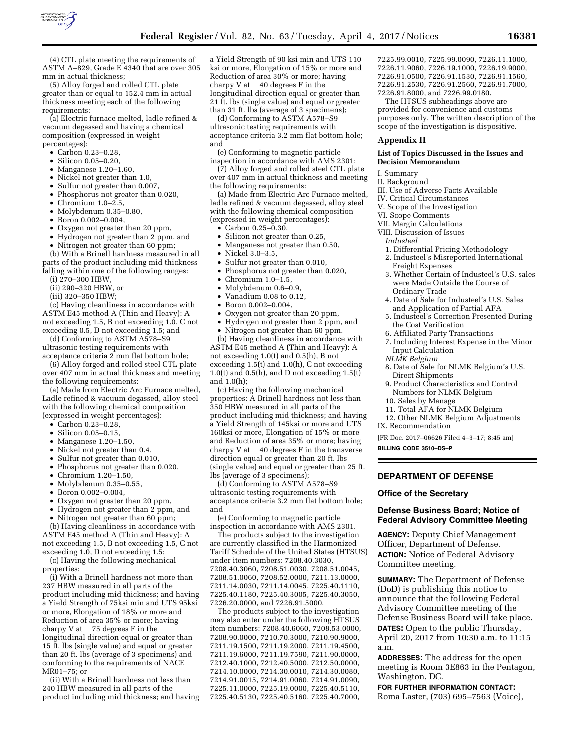

(4) CTL plate meeting the requirements of ASTM A–829, Grade E 4340 that are over 305 mm in actual thickness;

(5) Alloy forged and rolled CTL plate greater than or equal to 152.4 mm in actual thickness meeting each of the following requirements:

(a) Electric furnace melted, ladle refined & vacuum degassed and having a chemical composition (expressed in weight percentages):

- Carbon 0.23–0.28,
- 
- Silicon 0.05–0.20,<br>• Manganese 1.20–1 • Manganese 1.20–1.60,
- Nickel not greater than 1.0,
- Sulfur not greater than 0.007,
- Phosphorus not greater than 0.020,
- Chromium 1.0–2.5,
- Molybdenum 0.35–0.80,
- Boron 0.002–0.004,
- Oxygen not greater than 20 ppm,
- Hydrogen not greater than 2 ppm, and
- Nitrogen not greater than 60 ppm;

(b) With a Brinell hardness measured in all parts of the product including mid thickness falling within one of the following ranges:

(i) 270–300 HBW,

- (ii) 290–320 HBW, or
- (iii) 320–350 HBW;

(c) Having cleanliness in accordance with ASTM E45 method A (Thin and Heavy): A not exceeding 1.5, B not exceeding 1.0, C not exceeding 0.5, D not exceeding 1.5; and

(d) Conforming to ASTM A578–S9 ultrasonic testing requirements with acceptance criteria 2 mm flat bottom hole;

(6) Alloy forged and rolled steel CTL plate over 407 mm in actual thickness and meeting the following requirements:

(a) Made from Electric Arc Furnace melted, Ladle refined & vacuum degassed, alloy steel with the following chemical composition (expressed in weight percentages):

- Carbon 0.23–0.28,
- Silicon 0.05–0.15,
- Manganese 1.20–1.50,
- Nickel not greater than 0.4,
- Sulfur not greater than 0.010,
- Phosphorus not greater than 0.020,
- Chromium 1.20–1.50,
- Molybdenum 0.35–0.55,
- Boron 0.002–0.004,
- Oxygen not greater than 20 ppm,
- Hydrogen not greater than 2 ppm, and
- Nitrogen not greater than 60 ppm;

(b) Having cleanliness in accordance with ASTM E45 method A (Thin and Heavy): A not exceeding 1.5, B not exceeding 1.5, C not exceeding 1.0, D not exceeding 1.5;

(c) Having the following mechanical properties:

(i) With a Brinell hardness not more than 237 HBW measured in all parts of the product including mid thickness; and having a Yield Strength of 75ksi min and UTS 95ksi or more, Elongation of 18% or more and Reduction of area 35% or more; having charpy V at  $-75$  degrees F in the longitudinal direction equal or greater than 15 ft. lbs (single value) and equal or greater than 20 ft. lbs (average of 3 specimens) and conforming to the requirements of NACE MR01–75; or

(ii) With a Brinell hardness not less than 240 HBW measured in all parts of the product including mid thickness; and having

a Yield Strength of 90 ksi min and UTS 110 ksi or more, Elongation of 15% or more and Reduction of area 30% or more; having charpy V at  $-40$  degrees F in the longitudinal direction equal or greater than 21 ft. lbs (single value) and equal or greater than 31 ft. lbs (average of 3 specimens);

(d) Conforming to ASTM A578–S9 ultrasonic testing requirements with acceptance criteria 3.2 mm flat bottom hole; and

(e) Conforming to magnetic particle inspection in accordance with AMS 2301;

(7) Alloy forged and rolled steel CTL plate over 407 mm in actual thickness and meeting the following requirements:

(a) Made from Electric Arc Furnace melted, ladle refined & vacuum degassed, alloy steel with the following chemical composition (expressed in weight percentages):

- Carbon 0.25–0.30,
- Silicon not greater than 0.25,
- Manganese not greater than 0.50,
- Nickel 3.0–3.5,
- Sulfur not greater than 0.010,
- Phosphorus not greater than 0.020,
- $\bullet$  Chromium 1.0–1.5,
- Molybdenum 0.6–0.9,
- Vanadium 0.08 to 0.12,
- Boron 0.002–0.004,
- Oxygen not greater than 20 ppm,
- Hydrogen not greater than 2 ppm, and

• Nitrogen not greater than 60 ppm. (b) Having cleanliness in accordance with ASTM E45 method A (Thin and Heavy): A not exceeding 1.0(t) and 0.5(h), B not exceeding  $1.5(t)$  and  $1.0(h)$ , C not exceeding 1.0(t) and 0.5(h), and D not exceeding 1.5(t) and 1.0(h);

(c) Having the following mechanical properties: A Brinell hardness not less than 350 HBW measured in all parts of the product including mid thickness; and having a Yield Strength of 145ksi or more and UTS 160ksi or more, Elongation of 15% or more and Reduction of area 35% or more; having charpy V at  $-40$  degrees F in the transverse direction equal or greater than 20 ft. lbs (single value) and equal or greater than 25 ft. lbs (average of 3 specimens);

(d) Conforming to ASTM A578–S9 ultrasonic testing requirements with acceptance criteria 3.2 mm flat bottom hole; and

(e) Conforming to magnetic particle inspection in accordance with AMS 2301.

The products subject to the investigation are currently classified in the Harmonized Tariff Schedule of the United States (HTSUS) under item numbers: 7208.40.3030, 7208.40.3060, 7208.51.0030, 7208.51.0045, 7208.51.0060, 7208.52.0000, 7211.13.0000, 7211.14.0030, 7211.14.0045, 7225.40.1110, 7225.40.1180, 7225.40.3005, 7225.40.3050, 7226.20.0000, and 7226.91.5000.

The products subject to the investigation may also enter under the following HTSUS item numbers: 7208.40.6060, 7208.53.0000, 7208.90.0000, 7210.70.3000, 7210.90.9000, 7211.19.1500, 7211.19.2000, 7211.19.4500, 7211.19.6000, 7211.19.7590, 7211.90.0000, 7212.40.1000, 7212.40.5000, 7212.50.0000, 7214.10.0000, 7214.30.0010, 7214.30.0080, 7214.91.0015, 7214.91.0060, 7214.91.0090, 7225.11.0000, 7225.19.0000, 7225.40.5110, 7225.40.5130, 7225.40.5160, 7225.40.7000,

7225.99.0010, 7225.99.0090, 7226.11.1000, 7226.11.9060, 7226.19.1000, 7226.19.9000, 7226.91.0500, 7226.91.1530, 7226.91.1560, 7226.91.2530, 7226.91.2560, 7226.91.7000, 7226.91.8000, and 7226.99.0180.

The HTSUS subheadings above are provided for convenience and customs purposes only. The written description of the scope of the investigation is dispositive.

#### **Appendix II**

#### **List of Topics Discussed in the Issues and Decision Memorandum**

- I. Summary
- II. Background
- III. Use of Adverse Facts Available
- IV. Critical Circumstances
- V. Scope of the Investigation
- VI. Scope Comments
- VII. Margin Calculations
- VIII. Discussion of Issues
- *Industeel*
- 1. Differential Pricing Methodology
- 2. Industeel's Misreported International Freight Expenses
- 3. Whether Certain of Industeel's U.S. sales were Made Outside the Course of Ordinary Trade
- 4. Date of Sale for Industeel's U.S. Sales and Application of Partial AFA
- 5. Industeel's Correction Presented During the Cost Verification
- 6. Affiliated Party Transactions
- 7. Including Interest Expense in the Minor Input Calculation
- *NLMK Belgium*
- 8. Date of Sale for NLMK Belgium's U.S. Direct Shipments
- 9. Product Characteristics and Control Numbers for NLMK Belgium
- 10. Sales by Manage 11. Total AFA for NLMK Belgium
- 
- 12. Other NLMK Belgium Adjustments
- IX. Recommendation

[FR Doc. 2017–06626 Filed 4–3–17; 8:45 am]

**BILLING CODE 3510–DS–P** 

#### **DEPARTMENT OF DEFENSE**

#### **Office of the Secretary**

# **Defense Business Board; Notice of Federal Advisory Committee Meeting**

**AGENCY:** Deputy Chief Management Officer, Department of Defense. **ACTION:** Notice of Federal Advisory Committee meeting.

**SUMMARY:** The Department of Defense (DoD) is publishing this notice to announce that the following Federal Advisory Committee meeting of the Defense Business Board will take place. **DATES:** Open to the public Thursday, April 20, 2017 from 10:30 a.m. to 11:15 a.m.

**ADDRESSES:** The address for the open meeting is Room 3E863 in the Pentagon, Washington, DC.

**FOR FURTHER INFORMATION CONTACT:**  Roma Laster, (703) 695–7563 (Voice),